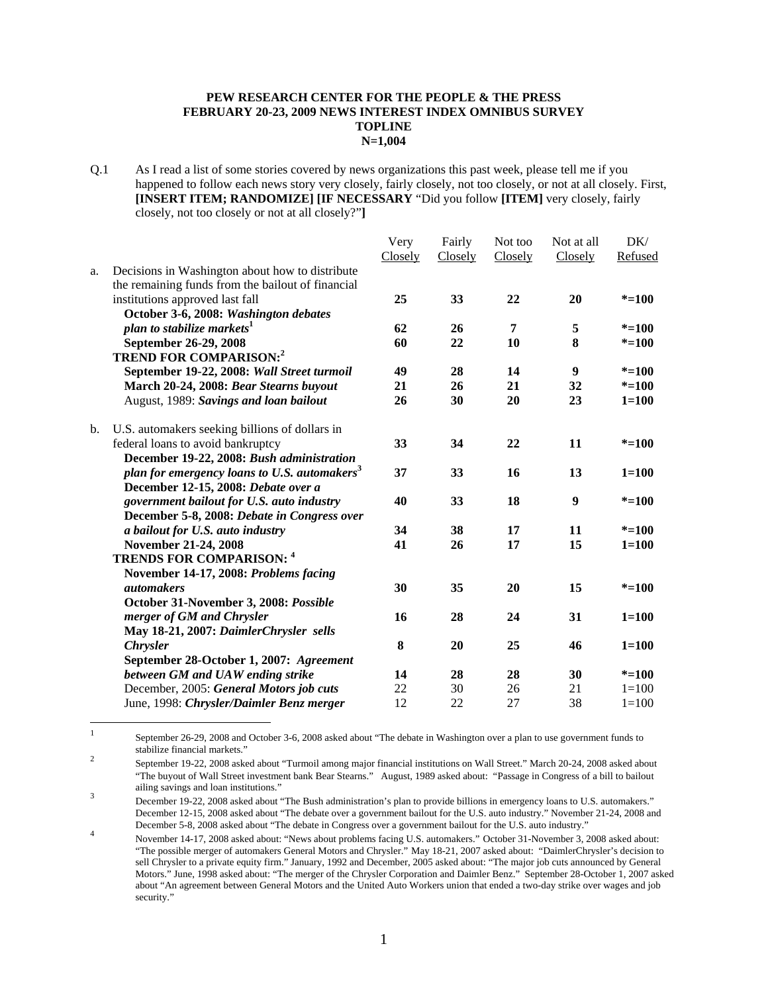## **PEW RESEARCH CENTER FOR THE PEOPLE & THE PRESS FEBRUARY 20-23, 2009 NEWS INTEREST INDEX OMNIBUS SURVEY TOPLINE N=1,004**

Q.1 As I read a list of some stories covered by news organizations this past week, please tell me if you happened to follow each news story very closely, fairly closely, not too closely, or not at all closely. First, **[INSERT ITEM; RANDOMIZE] [IF NECESSARY** "Did you follow **[ITEM]** very closely, fairly closely, not too closely or not at all closely?"**]** 

|    |                                                          | Very    | Fairly  | Not too | Not at all | DK/       |
|----|----------------------------------------------------------|---------|---------|---------|------------|-----------|
|    |                                                          | Closely | Closely | Closely | Closely    | Refused   |
| a. | Decisions in Washington about how to distribute          |         |         |         |            |           |
|    | the remaining funds from the bailout of financial        |         |         |         |            |           |
|    | institutions approved last fall                          | 25      | 33      | 22      | 20         | $* = 100$ |
|    | October 3-6, 2008: Washington debates                    |         |         |         |            |           |
|    | plan to stabilize markets <sup>1</sup>                   | 62      | 26      | 7       | 5          | $* = 100$ |
|    | September 26-29, 2008                                    | 60      | 22      | 10      | 8          | $* = 100$ |
|    | <b>TREND FOR COMPARISON:2</b>                            |         |         |         |            |           |
|    | September 19-22, 2008: Wall Street turmoil               | 49      | 28      | 14      | 9          | $* = 100$ |
|    | March 20-24, 2008: Bear Stearns buyout                   | 21      | 26      | 21      | 32         | $* = 100$ |
|    | August, 1989: Savings and loan bailout                   | 26      | 30      | 20      | 23         | $1 = 100$ |
| b. | U.S. automakers seeking billions of dollars in           |         |         |         |            |           |
|    | federal loans to avoid bankruptcy                        | 33      | 34      | 22      | 11         | $* = 100$ |
|    | December 19-22, 2008: Bush administration                |         |         |         |            |           |
|    | plan for emergency loans to U.S. automakers <sup>3</sup> | 37      | 33      | 16      | 13         | $1 = 100$ |
|    | December 12-15, 2008: Debate over a                      |         |         |         |            |           |
|    | government bailout for U.S. auto industry                | 40      | 33      | 18      | 9          | $* = 100$ |
|    | December 5-8, 2008: Debate in Congress over              |         |         |         |            |           |
|    | a bailout for U.S. auto industry                         | 34      | 38      | 17      | 11         | $* = 100$ |
|    | November 21-24, 2008                                     | 41      | 26      | 17      | 15         | $1 = 100$ |
|    | <b>TRENDS FOR COMPARISON: 4</b>                          |         |         |         |            |           |
|    | November 14-17, 2008: Problems facing                    |         |         |         |            |           |
|    | <i>automakers</i>                                        | 30      | 35      | 20      | 15         | $* = 100$ |
|    | October 31-November 3, 2008: Possible                    |         |         |         |            |           |
|    | merger of GM and Chrysler                                | 16      | 28      | 24      | 31         | $1 = 100$ |
|    | May 18-21, 2007: DaimlerChrysler sells                   |         |         |         |            |           |
|    | <b>Chrysler</b>                                          | 8       | 20      | 25      | 46         | $1 = 100$ |
|    | September 28-October 1, 2007: Agreement                  |         |         |         |            |           |
|    | between GM and UAW ending strike                         | 14      | 28      | 28      | 30         | $* = 100$ |
|    | December, 2005: General Motors job cuts                  | 22      | 30      | 26      | 21         | $1 = 100$ |
|    | June, 1998: Chrysler/Daimler Benz merger                 | 12      | 22      | 27      | 38         | $1 = 100$ |

 $\frac{1}{1}$  September 26-29, 2008 and October 3-6, 2008 asked about "The debate in Washington over a plan to use government funds to stabilize financial markets." 2

 September 19-22, 2008 asked about "Turmoil among major financial institutions on Wall Street." March 20-24, 2008 asked about "The buyout of Wall Street investment bank Bear Stearns." August, 1989 asked about: "Passage in Congress of a bill to bailout ailing savings and loan institutions." 3

December 19-22, 2008 asked about "The Bush administration's plan to provide billions in emergency loans to U.S. automakers." December 12-15, 2008 asked about "The debate over a government bailout for the U.S. auto industry." November 21-24, 2008 and December 5-8, 2008 asked about "The debate in Congress over a government bailout for the U.S. auto industry." 4

November 14-17, 2008 asked about: "News about problems facing U.S. automakers." October 31-November 3, 2008 asked about: "The possible merger of automakers General Motors and Chrysler." May 18-21, 2007 asked about: "DaimlerChrysler's decision to sell Chrysler to a private equity firm." January, 1992 and December, 2005 asked about: "The major job cuts announced by General Motors." June, 1998 asked about: "The merger of the Chrysler Corporation and Daimler Benz." September 28-October 1, 2007 asked about "An agreement between General Motors and the United Auto Workers union that ended a two-day strike over wages and job security."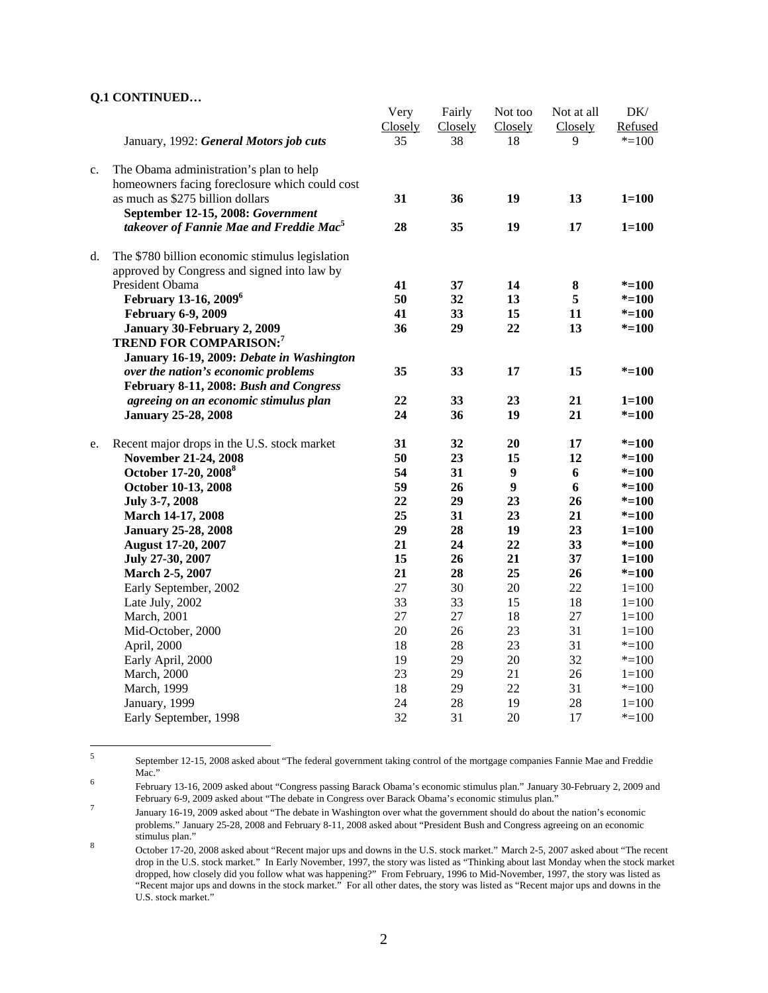## **Q.1 CONTINUED…**

|    |                                                     | Very    | Fairly  | Not too          | Not at all | DK/       |
|----|-----------------------------------------------------|---------|---------|------------------|------------|-----------|
|    |                                                     | Closely | Closely | Closely          | Closely    | Refused   |
|    | January, 1992: General Motors job cuts              | 35      | 38      | 18               | 9          | $* = 100$ |
| c. | The Obama administration's plan to help             |         |         |                  |            |           |
|    | homeowners facing foreclosure which could cost      |         |         |                  |            |           |
|    | as much as \$275 billion dollars                    | 31      | 36      | 19               | 13         | $1 = 100$ |
|    | September 12-15, 2008: Government                   |         |         |                  |            |           |
|    | takeover of Fannie Mae and Freddie Mac <sup>5</sup> | 28      | 35      | 19               | 17         | $1 = 100$ |
| d. | The \$780 billion economic stimulus legislation     |         |         |                  |            |           |
|    | approved by Congress and signed into law by         |         |         |                  |            |           |
|    | President Obama                                     | 41      | 37      | 14               | 8          | $* = 100$ |
|    | February 13-16, 2009 <sup>6</sup>                   | 50      | 32      | 13               | 5          | $* = 100$ |
|    | <b>February 6-9, 2009</b>                           | 41      | 33      | 15               | 11         | $* = 100$ |
|    | January 30-February 2, 2009                         | 36      | 29      | 22               | 13         | $* = 100$ |
|    | <b>TREND FOR COMPARISON:7</b>                       |         |         |                  |            |           |
|    | January 16-19, 2009: Debate in Washington           |         |         |                  |            |           |
|    | over the nation's economic problems                 | 35      | 33      | 17               | 15         | $* = 100$ |
|    | February 8-11, 2008: Bush and Congress              |         |         |                  |            |           |
|    | agreeing on an economic stimulus plan               | 22      | 33      | 23               | 21         | $1 = 100$ |
|    | <b>January 25-28, 2008</b>                          | 24      | 36      | 19               | 21         | $* = 100$ |
| e. | Recent major drops in the U.S. stock market         | 31      | 32      | 20               | 17         | $* = 100$ |
|    | November 21-24, 2008                                | 50      | 23      | 15               | 12         | $* = 100$ |
|    | October 17-20, 2008 <sup>8</sup>                    | 54      | 31      | $\boldsymbol{9}$ | 6          | $* = 100$ |
|    | October 10-13, 2008                                 | 59      | 26      | $\boldsymbol{9}$ | 6          | $* = 100$ |
|    | July 3-7, 2008                                      | 22      | 29      | 23               | 26         | $* = 100$ |
|    | March 14-17, 2008                                   | 25      | 31      | 23               | 21         | $* = 100$ |
|    | <b>January 25-28, 2008</b>                          | 29      | 28      | 19               | 23         | $1 = 100$ |
|    | <b>August 17-20, 2007</b>                           | 21      | 24      | 22               | 33         | $* = 100$ |
|    | July 27-30, 2007                                    | 15      | 26      | 21               | 37         | $1 = 100$ |
|    | March 2-5, 2007                                     | 21      | 28      | 25               | 26         | $* = 100$ |
|    | Early September, 2002                               | 27      | 30      | 20               | 22         | $1 = 100$ |
|    | Late July, 2002                                     | 33      | 33      | 15               | 18         | $1 = 100$ |
|    | March, 2001                                         | 27      | 27      | 18               | 27         | $1 = 100$ |
|    | Mid-October, 2000                                   | 20      | 26      | 23               | 31         | $1 = 100$ |
|    | April, 2000                                         | 18      | 28      | 23               | 31         | $*=100$   |
|    | Early April, 2000                                   | 19      | 29      | $20\,$           | 32         | $* = 100$ |
|    | March, 2000                                         | 23      | 29      | 21               | 26         | $1 = 100$ |
|    | March, 1999                                         | 18      | 29      | 22               | 31         | $* = 100$ |
|    | January, 1999                                       | 24      | 28      | 19               | 28         | $1 = 100$ |
|    | Early September, 1998                               | 32      | 31      | 20               | 17         | $* = 100$ |
|    |                                                     |         |         |                  |            |           |

 5 September 12-15, 2008 asked about "The federal government taking control of the mortgage companies Fannie Mae and Freddie  $Mac.$ "

February 13-16, 2009 asked about "Congress passing Barack Obama's economic stimulus plan." January 30-February 2, 2009 and February 6-9, 2009 asked about "The debate in Congress over Barack Obama's economic stimulus plan." 7

January 16-19, 2009 asked about "The debate in Washington over what the government should do about the nation's economic problems." January 25-28, 2008 and February 8-11, 2008 asked about "President Bush and Congress agreeing on an economic stimulus plan." 8

October 17-20, 2008 asked about "Recent major ups and downs in the U.S. stock market." March 2-5, 2007 asked about "The recent drop in the U.S. stock market." In Early November, 1997, the story was listed as "Thinking about last Monday when the stock market dropped, how closely did you follow what was happening?" From February, 1996 to Mid-November, 1997, the story was listed as "Recent major ups and downs in the stock market." For all other dates, the story was listed as "Recent major ups and downs in the U.S. stock market."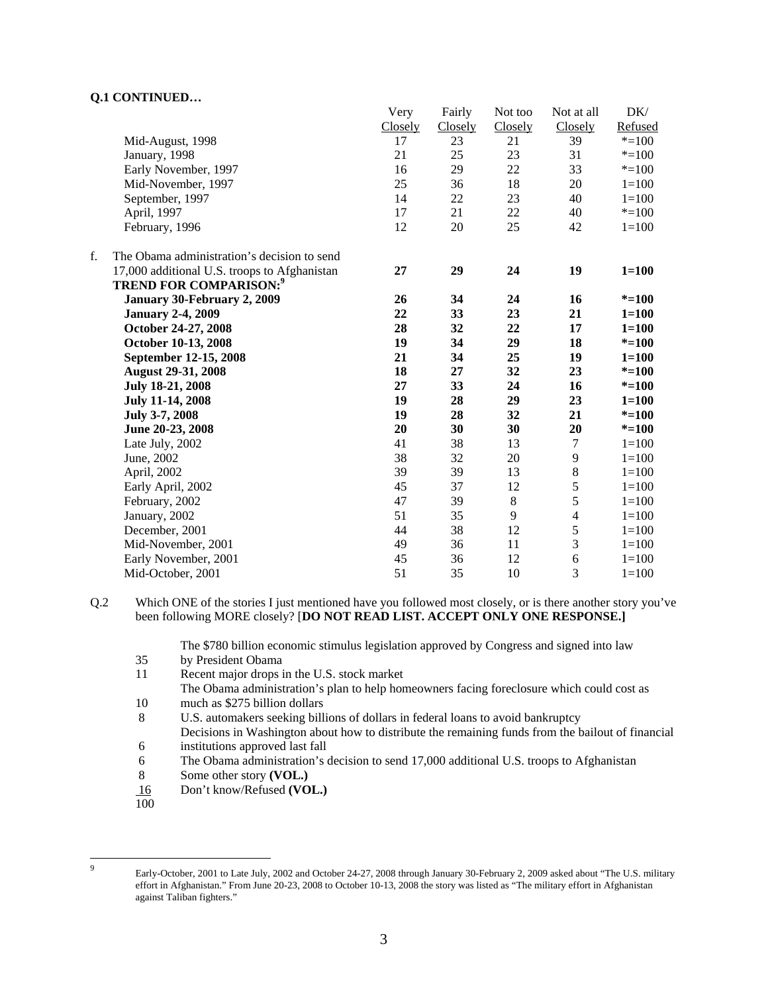## **Q.1 CONTINUED…**

|    |                                              | Very    | Fairly  | Not too | Not at all     | DK/       |
|----|----------------------------------------------|---------|---------|---------|----------------|-----------|
|    |                                              | Closely | Closely | Closely | Closely        | Refused   |
|    | Mid-August, 1998                             | 17      | 23      | 21      | 39             | $* = 100$ |
|    | January, 1998                                | 21      | 25      | 23      | 31             | $* = 100$ |
|    | Early November, 1997                         | 16      | 29      | 22      | 33             | $* = 100$ |
|    | Mid-November, 1997                           | 25      | 36      | 18      | 20             | $1 = 100$ |
|    | September, 1997                              | 14      | $22\,$  | 23      | 40             | $1 = 100$ |
|    | April, 1997                                  | 17      | 21      | 22      | 40             | $* = 100$ |
|    | February, 1996                               | 12      | 20      | 25      | 42             | $1 = 100$ |
| f. | The Obama administration's decision to send  |         |         |         |                |           |
|    | 17,000 additional U.S. troops to Afghanistan | 27      | 29      | 24      | 19             | $1 = 100$ |
|    | <b>TREND FOR COMPARISON:</b> <sup>9</sup>    |         |         |         |                |           |
|    | January 30-February 2, 2009                  | 26      | 34      | 24      | 16             | $* = 100$ |
|    | <b>January 2-4, 2009</b>                     | 22      | 33      | 23      | 21             | $1 = 100$ |
|    | October 24-27, 2008                          | 28      | 32      | 22      | 17             | $1 = 100$ |
|    | October 10-13, 2008                          | 19      | 34      | 29      | 18             | $* = 100$ |
|    | September 12-15, 2008                        | 21      | 34      | 25      | 19             | $1 = 100$ |
|    | <b>August 29-31, 2008</b>                    | 18      | 27      | 32      | 23             | $* = 100$ |
|    | July 18-21, 2008                             | 27      | 33      | 24      | 16             | $* = 100$ |
|    | <b>July 11-14, 2008</b>                      | 19      | 28      | 29      | 23             | $1 = 100$ |
|    | July 3-7, 2008                               | 19      | 28      | 32      | 21             | $* = 100$ |
|    | June 20-23, 2008                             | 20      | 30      | 30      | 20             | $* = 100$ |
|    | Late July, 2002                              | 41      | 38      | 13      | 7              | $1 = 100$ |
|    | June, 2002                                   | 38      | 32      | 20      | 9              | $1 = 100$ |
|    | April, 2002                                  | 39      | 39      | 13      | $8\,$          | $1 = 100$ |
|    | Early April, 2002                            | 45      | 37      | 12      | 5              | $1 = 100$ |
|    | February, 2002                               | 47      | 39      | $\,8\,$ | 5              | $1 = 100$ |
|    | January, 2002                                | 51      | 35      | 9       | $\overline{4}$ | $1 = 100$ |
|    | December, 2001                               | 44      | 38      | 12      | 5              | $1 = 100$ |
|    | Mid-November, 2001                           | 49      | 36      | 11      | 3              | $1 = 100$ |
|    | Early November, 2001                         | 45      | 36      | 12      | 6              | $1 = 100$ |
|    | Mid-October, 2001                            | 51      | 35      | 10      | 3              | $1 = 100$ |

Q.2 Which ONE of the stories I just mentioned have you followed most closely, or is there another story you've been following MORE closely? [**DO NOT READ LIST. ACCEPT ONLY ONE RESPONSE.]** 

The \$780 billion economic stimulus legislation approved by Congress and signed into law

- 35 by President Obama
- 11 Recent major drops in the U.S. stock market

The Obama administration's plan to help homeowners facing foreclosure which could cost as 10 much as \$275 billion dollars

8 U.S. automakers seeking billions of dollars in federal loans to avoid bankruptcy

Decisions in Washington about how to distribute the remaining funds from the bailout of financial 6 institutions approved last fall

- 6 The Obama administration's decision to send 17,000 additional U.S. troops to Afghanistan
- 8 Some other story **(VOL.)**
- 16 Don't know/Refused **(VOL.)**
- 100

-<br>9

Early-October, 2001 to Late July, 2002 and October 24-27, 2008 through January 30-February 2, 2009 asked about "The U.S. military effort in Afghanistan." From June 20-23, 2008 to October 10-13, 2008 the story was listed as "The military effort in Afghanistan against Taliban fighters."